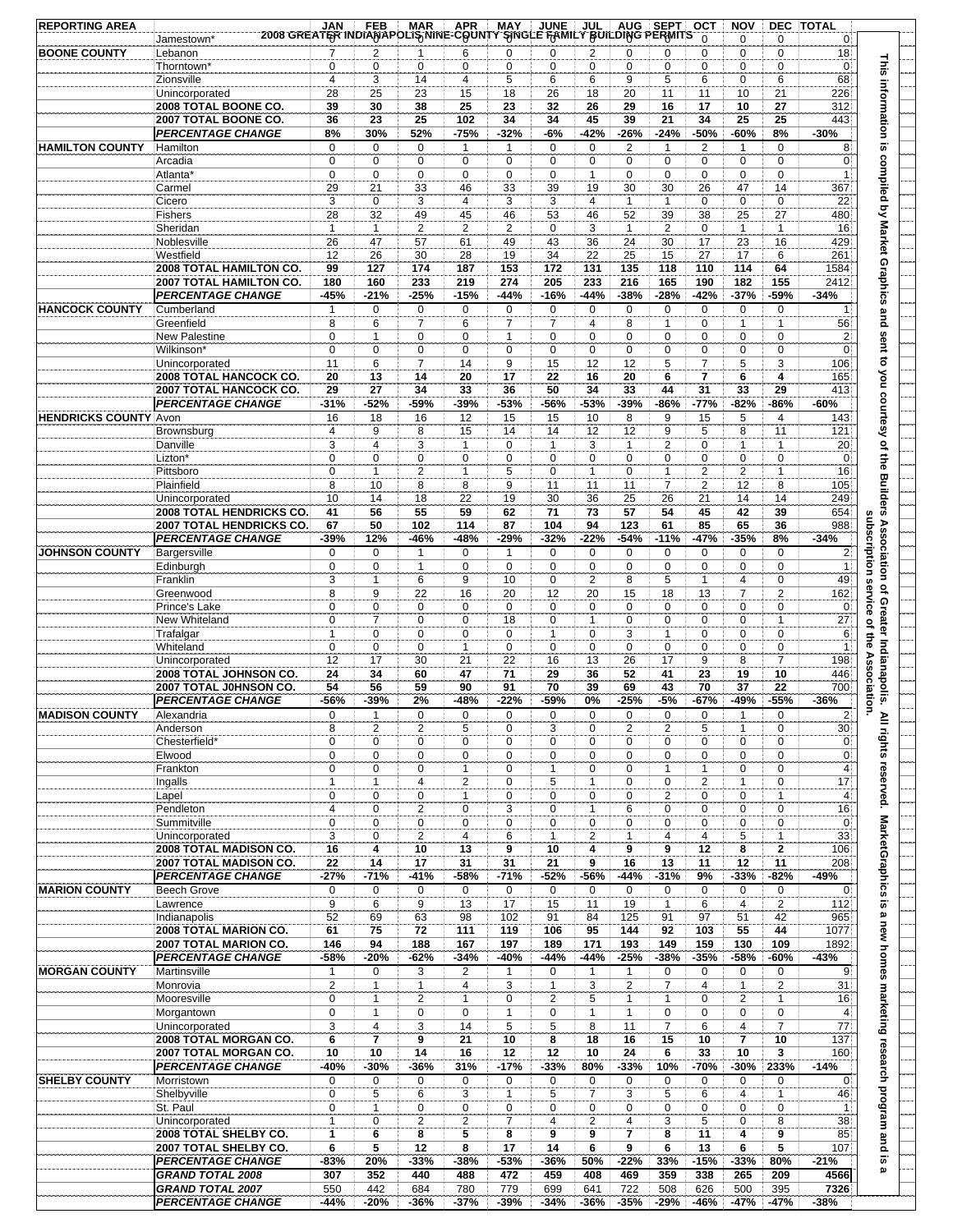| <b>REPORTING AREA</b>        | 2008 GREATER INDIANAPOLIS NINE-COUNTY SINGLE FAMILY BUILDING PERMITS | <b>JAN</b>                    | <b>FEB</b>                 | <b>MAR</b>                    | <b>APR</b>                    | <b>MAY</b>                     | <b>JUNE</b>                   | <b>JUL</b>                    |                               | AUG SEPT                       | <b>OCT</b><br>$\Omega$ | <b>NOV</b><br>$\mathbf 0$   | 0                           | <b>DEC TOTAL</b>               |                                                                                          |
|------------------------------|----------------------------------------------------------------------|-------------------------------|----------------------------|-------------------------------|-------------------------------|--------------------------------|-------------------------------|-------------------------------|-------------------------------|--------------------------------|------------------------|-----------------------------|-----------------------------|--------------------------------|------------------------------------------------------------------------------------------|
| <b>BOONE COUNTY</b>          | Jamestown <sup>*</sup><br>Lebanon                                    | $\overline{7}$                | $\overline{2}$             | $\mathbf{1}$                  | 6                             | $\mathbf 0$                    | $\mathbf 0$                   | $\overline{2}$                | $\mathbf 0$                   | 0                              | 0                      | $\mathbf 0$                 | $\mathbf 0$                 | $\mathbf{0}$<br>18             |                                                                                          |
|                              | Thorntown'                                                           | 0                             | $\mathbf 0$                | $\mathbf 0$                   | 0                             | $\mathbf 0$                    | $\mathbf 0$                   | $\mathbf 0$                   | $\mathbf 0$                   | $\mathbf 0$                    | 0                      | $\mathbf 0$                 | $\mathbf 0$                 | $\overline{0}$                 |                                                                                          |
|                              | Zionsville                                                           | $\overline{4}$                | 3                          | 14                            | 4                             | 5                              | 6                             | 6                             | 9                             | 5                              | 6                      | $\mathbf 0$                 | 6                           | 68                             |                                                                                          |
|                              | Unincorporated<br>2008 TOTAL BOONE CO.                               | 28<br>39                      | 25<br>30                   | 23<br>38                      | 15<br>25                      | 18<br>23                       | 26<br>32                      | 18<br>26                      | 20<br>29                      | 11<br>16                       | 11<br>17               | 10<br>10                    | 21<br>27                    | 226<br>312                     |                                                                                          |
|                              | 2007 TOTAL BOONE CO.                                                 | 36                            | 23                         | 25                            | 102                           | 34                             | 34                            | 45                            | 39                            | 21                             | 34                     | 25                          | 25                          | 443                            |                                                                                          |
|                              | <b>PERCENTAGE CHANGE</b>                                             | 8%                            | 30%                        | 52%                           | -75%                          | $-32%$                         | $-6%$                         | $-42%$                        | $-26%$                        | $-24%$                         | $-50%$                 | -60%                        | 8%                          | $-30%$                         |                                                                                          |
| <b>HAMILTON COUNTY</b>       | Hamilton                                                             | $\mathbf 0$                   | $\mathbf 0$                | $\mathbf 0$                   | 1                             | $\overline{1}$                 | $\mathbf 0$                   | $\mathbf 0$                   | $\overline{2}$                | $\mathbf{1}$                   | $\overline{2}$         | 1                           | $\mathbf 0$                 | 8                              |                                                                                          |
|                              | Arcadia                                                              | 0                             | 0<br>$\mathbf 0$           | 0                             | 0                             | $\mathbf 0$                    | $\mathbf 0$                   | $\mathbf 0$                   | $\mathbf 0$<br>$\mathbf 0$    | 0                              | 0<br>0                 | 0                           | $\mathbf 0$<br>$\mathbf 0$  | $\overline{0}$<br>$\vert$ 1    |                                                                                          |
|                              | Atlanta <sup>®</sup><br>Carmel                                       | 0<br>29                       | 21                         | 0<br>33                       | 0<br>46                       | $\mathbf 0$<br>33              | $\mathbf 0$<br>39             | $\mathbf{1}$<br>19            | 30                            | 0<br>30                        | 26                     | 0<br>47                     | 14                          | 367                            |                                                                                          |
|                              | Cicero                                                               | 3                             | 0                          | 3                             | 4                             | 3                              | 3                             | $\overline{4}$                | $\mathbf{1}$                  | $\mathbf{1}$                   | 0                      | $\mathbf 0$                 | $\pmb{0}$                   | 22                             |                                                                                          |
|                              | Fishers                                                              | 28                            | 32                         | 49                            | 45                            | 46                             | 53                            | 46                            | 52                            | 39                             | 38                     | 25                          | 27                          | 480                            |                                                                                          |
|                              | Sheridan                                                             | $\mathbf{1}$                  | $\mathbf{1}$               | 2                             | $\overline{c}$                | $\overline{2}$                 | $\mathbf 0$                   | 3                             | $\mathbf{1}$                  | 2                              | 0                      | $\mathbf{1}$                | $\mathbf{1}$                | 16                             |                                                                                          |
|                              | Noblesville<br>Westfield                                             | 26<br>12                      | 47<br>26                   | 57<br>30                      | 61<br>28                      | 49<br>19                       | 43<br>34                      | 36<br>22                      | 24<br>25                      | 30<br>15                       | 17<br>27               | 23<br>17                    | 16<br>6                     | 429<br>261                     |                                                                                          |
|                              | 2008 TOTAL HAMILTON CO.                                              | 99                            | 127                        | 174                           | 187                           | 153                            | 172                           | 131                           | 135                           | 118                            | 110                    | 114                         | 64                          | 1584                           |                                                                                          |
|                              | 2007 TOTAL HAMILTON CO.                                              | 180                           | 160                        | 233                           | 219                           | 274                            | 205                           | 233                           | 216                           | 165                            | 190                    | 182                         | 155                         | 2412                           |                                                                                          |
|                              | <b>PERCENTAGE CHANGE</b>                                             | -45%                          | $-21%$                     | $-25%$                        | $-15%$                        | $-44%$                         | $-16%$                        | $-44%$                        | $-38%$                        | $-28%$                         | $-42%$                 | $-37%$                      | -59%                        | $-34%$                         |                                                                                          |
| <b>HANCOCK COUNTY</b>        | Cumberland                                                           | 1                             | $\mathbf 0$                | $\mathbf 0$                   | $\mathbf 0$                   | $\mathbf 0$                    | $\overline{0}$                | $\mathbf 0$                   | $\mathbf 0$                   | 0                              | 0                      | $\mathbf 0$                 | $\mathbf 0$                 | 1                              |                                                                                          |
|                              | Greenfield<br><b>New Palestine</b>                                   | 8<br>0                        | 6<br>$\mathbf{1}$          | $\overline{7}$<br>$\mathbf 0$ | 6<br>0                        | $\overline{7}$<br>$\mathbf{1}$ | $\overline{7}$<br>$\mathbf 0$ | $\overline{4}$<br>$\mathbf 0$ | 8<br>$\mathbf 0$              | $\mathbf{1}$<br>$\mathbf 0$    | 0<br>0                 | $\mathbf{1}$<br>$\mathbf 0$ | $\mathbf{1}$<br>$\mathbf 0$ | 56<br>$\overline{2}$           |                                                                                          |
|                              | Wilkinson*                                                           | 0                             | 0                          | 0                             | 0                             | $\mathbf 0$                    | $\mathbf 0$                   | $\mathbf 0$                   | $\mathbf 0$                   | 0                              | 0                      | 0                           | 0                           | $\overline{0}$                 |                                                                                          |
|                              | Unincorporated                                                       | 11                            | 6                          | $\overline{7}$                | 14                            | 9                              | 15                            | 12                            | 12                            | 5                              | 7                      | 5                           | 3                           | 106                            |                                                                                          |
|                              | 2008 TOTAL HANCOCK CO.                                               | 20                            | 13                         | 14                            | 20                            | 17                             | 22                            | 16                            | 20                            | 6                              | 7                      | 6                           | 4                           | 165                            |                                                                                          |
|                              | 2007 TOTAL HANCOCK CO.                                               | 29                            | 27                         | 34                            | 33                            | 36                             | 50                            | 34                            | 33                            | 44                             | 31                     | 33                          | 29                          | 413                            |                                                                                          |
| <b>HENDRICKS COUNTY Avon</b> | <b>PERCENTAGE CHANGE</b>                                             | $-31%$<br>16                  | $-52%$<br>18               | -59%<br>16                    | -39%<br>12                    | -53%<br>15                     | -56%<br>15                    | -53%<br>10                    | $-39%$<br>8                   | -86%<br>9                      | $-77%$<br>15           | -82%<br>5                   | -86%<br>$\overline{4}$      | -60%<br>143                    | This information is compiled by Market Graphics and sent to you courtesy of the Builders |
|                              | Brownsburg                                                           | 4                             | 9                          | 8                             | 15                            | 14                             | 14                            | 12                            | 12                            | 9                              | 5                      | 8                           | 11                          | 121                            |                                                                                          |
|                              | Danville                                                             | 3                             | $\overline{4}$             | 3                             | $\mathbf{1}$                  | $\mathbf 0$                    | $\mathbf{1}$                  | 3                             | $\mathbf{1}$                  | $\overline{2}$                 | 0                      | $\mathbf{1}$                | $\mathbf{1}$                | 20                             |                                                                                          |
|                              | Lizton*                                                              | $\mathbf 0$                   | $\mathbf 0$                | $\mathbf 0$                   | $\mathbf 0$                   | $\mathbf 0$                    | $\mathbf 0$                   | $\mathbf 0$                   | $\mathbf 0$                   | 0                              | 0                      | $\mathbf 0$                 | $\pmb{0}$                   | $\overline{0}$                 |                                                                                          |
|                              | Pittsboro<br>Plainfield                                              | $\mathbf 0$<br>8              | $\mathbf{1}$<br>10         | $\overline{2}$<br>8           | $\mathbf{1}$<br>8             | 5<br>9                         | $\mathbf 0$<br>11             | $\mathbf{1}$<br>11            | $\mathbf 0$<br>11             | $\mathbf{1}$<br>$\overline{7}$ | $\overline{2}$<br>2    | $\overline{2}$<br>12        | $\mathbf{1}$<br>8           | 16<br>105                      |                                                                                          |
|                              | Unincorporated                                                       | 10                            | 14                         | 18                            | 22                            | 19                             | 30                            | 36                            | 25                            | 26                             | 21                     | 14                          | 14                          | 249                            |                                                                                          |
|                              | <b>2008 TOTAL HENDRICKS CO</b>                                       | 41                            | 56                         | 55                            | 59                            | 62                             | 71                            | 73                            | 57                            | 54                             | 45                     | 42                          | 39                          | 654                            |                                                                                          |
|                              | 2007 TOTAL HENDRICKS CO.                                             | 67                            | 50                         | 102                           | 114                           | 87                             | 104                           | 94                            | 123                           | 61                             | 85                     | 65                          | 36                          | 988                            |                                                                                          |
|                              | <b>PERCENTAGE CHANGE</b>                                             | -39%                          | 12%                        | -46%                          | -48%                          | $-29%$                         | $-32%$                        | $-22%$                        | $-54%$                        | $-11%$                         | $-47%$                 | $-35%$                      | 8%                          | $-34%$                         | subscription                                                                             |
| <b>JOHNSON COUNTY</b>        | Bargersville                                                         | 0                             | 0<br>$\mathbf 0$           | $\mathbf{1}$                  | $\mathbf 0$                   | $\mathbf{1}$                   | $\mathbf 0$<br>$\mathbf 0$    | $\mathbf 0$                   | $\mathbf 0$                   | 0                              | 0<br>0                 | 0                           | 0                           | $\mathbf{2}$                   |                                                                                          |
|                              | Edinburgh<br>Franklin                                                | $\mathbf 0$<br>3              | $\mathbf{1}$               | $\mathbf{1}$<br>6             | 0<br>9                        | $\mathbf 0$<br>10              | $\pmb{0}$                     | $\mathbf 0$<br>$\overline{2}$ | $\mathbf 0$<br>8              | 0<br>5                         | $\mathbf{1}$           | 0<br>$\overline{4}$         | 0<br>$\mathbf 0$            | $\mathbf{1}$<br>49             |                                                                                          |
|                              | Greenwood                                                            | 8                             | 9                          | 22                            | 16                            | 20                             | 12                            | 20                            | 15                            | 18                             | 13                     | $\overline{7}$              | $\overline{\mathbf{c}}$     | 162                            | Association of Greater Indianapolis.<br>service                                          |
|                              | Prince's Lake                                                        | 0                             | 0                          | 0                             | 0                             | $\mathbf 0$                    | $\mathbf 0$                   | 0                             | $\mathbf 0$                   | 0                              | 0                      | 0                           | $\mathbf 0$                 | $\mathbf{0}$                   |                                                                                          |
|                              | New Whiteland                                                        | 0                             | $\overline{7}$             | 0                             | 0                             | 18                             | $\pmb{0}$                     | 1                             | $\mathbf 0$                   | 0                              | 0                      | $\mathbf 0$                 | 1                           | 27                             |                                                                                          |
|                              | Trafalgar<br>Whiteland                                               | $\overline{1}$<br>$\mathbf 0$ | $\mathbf 0$<br>$\mathbf 0$ | $\mathbf 0$<br>$\mathbf 0$    | 0<br>$\mathbf{1}$             | $\mathbf 0$<br>$\mathbf 0$     | $\mathbf{1}$<br>$\mathbf 0$   | $\mathbf 0$<br>$\mathbf 0$    | 3<br>$\mathbf 0$              | $\mathbf{1}$<br>0              | 0<br>0                 | $\mathbf 0$<br>$\mathbf 0$  | 0<br>0                      | 6 <sup>1</sup><br>$\mathbf{1}$ | of the                                                                                   |
|                              | Unincorporated                                                       | 12                            | 17                         | 30                            | 21                            | 22                             | 16                            | 13                            | 26                            | 17                             | 9                      | 8                           | $\overline{7}$              | 198                            |                                                                                          |
|                              | 2008 TOTAL JOHNSON CO.                                               | 24                            | 34                         | 60                            | 47                            | 71                             | 29                            | 36                            | 52                            | 41                             | 23                     | 19                          | 10                          | 446                            |                                                                                          |
|                              | 2007 TOTAL J0HNSON CO.                                               | 54                            | 56                         | 59                            | 90                            | 91                             | 70                            | 39                            | 69                            | 43                             | 70                     | 37                          | 22                          | 700                            |                                                                                          |
| <b>MADISON COUNTY</b>        | <b>PERCENTAGE CHANGE</b><br>Alexandria                               | -56%                          | $-39%$                     | 2%<br>$\Omega$                | -48%<br>$\Omega$              | $-22%$<br>$\Omega$             | -59%<br>$\Omega$              | 0%<br>$\Omega$                | $-25%$<br>$\Omega$            | $-5%$<br>$\Omega$              | $-67%$<br>$\Omega$     | -49%                        | $-55%$<br>$\Omega$          | $-36%$<br>$\overline{2}$       | Association.                                                                             |
|                              | Anderson                                                             | $\Omega$<br>8                 | 1<br>$\overline{2}$        | $\overline{2}$                | 5                             | 0                              | 3                             | 0                             | $\overline{2}$                | 2                              | 5                      | 1<br>$\mathbf{1}$           | $\mathbf 0$                 | 30                             |                                                                                          |
|                              | Chesterfield*                                                        | 0                             | 0                          | 0                             | 0                             | 0                              | 0                             | 0                             | 0                             | 0                              | 0                      | 0                           | 0                           | $\overline{0}$                 |                                                                                          |
|                              | Elwood                                                               | $\mathbf 0$                   | $\mathbf 0$                | $\mathbf 0$                   | 0                             | $\mathbf 0$                    | $\mathbf 0$                   | 0                             | $\mathbf 0$                   | $\mathbf 0$                    | 0                      | $\mathbf 0$                 | 0                           | $\overline{0}$                 |                                                                                          |
|                              | Frankton                                                             | $\mathbf 0$                   | $\mathbf 0$                | $\mathbf 0$                   | 1                             | 0                              | $\mathbf{1}$                  | $\mathbf 0$                   | $\mathbf 0$                   | 1                              | 1                      | $\mathbf 0$                 | 0                           | 4 <sup>1</sup>                 |                                                                                          |
|                              | Ingalls<br>Lapel                                                     | $\mathbf{1}$<br>0             | $\mathbf{1}$<br>0          | 4<br>0                        | 2<br>$\mathbf{1}$             | $\mathbf 0$<br>$\mathbf 0$     | 5<br>$\mathbf 0$              | 1<br>0                        | $\mathbf 0$<br>$\mathbf 0$    | 0<br>2                         | 2<br>0                 | $\mathbf{1}$<br>0           | 0<br>$\mathbf{1}$           | 17<br>$\overline{4}$           |                                                                                          |
|                              | Pendleton                                                            | 4                             | 0                          | $\overline{2}$                | 0                             | 3                              | $\mathbf 0$                   | $\mathbf{1}$                  | 6                             | 0                              | 0                      | 0                           | 0                           | 16                             | All rights reserved.                                                                     |
|                              | Summitville                                                          | $\mathbf 0$                   | 0                          | $\mathbf 0$                   | $\mathbf 0$                   | $\mathbf 0$                    | $\mathbf 0$                   | 0                             | $\mathbf 0$                   | $\mathbf 0$                    | 0                      | 0                           | $\mathbf 0$                 | $\mathbf{0}$                   |                                                                                          |
|                              | Unincorporated                                                       | 3                             | 0                          | $\overline{2}$                | 4                             | 6                              | $\mathbf{1}$                  | $\overline{2}$                | $\mathbf{1}$                  | 4                              | 4                      | 5                           | $\mathbf{1}$                | 33                             |                                                                                          |
|                              | 2008 TOTAL MADISON CO.                                               | 16                            | 4                          | 10                            | 13                            | 9                              | 10                            | 4                             | 9                             | 9                              | 12                     | 8                           | $\mathbf{2}$                | 106                            |                                                                                          |
|                              | 2007 TOTAL MADISON CO.<br><b>PERCENTAGE CHANGE</b>                   | 22<br>$-27%$                  | 14<br>$-71%$               | 17<br>$-41%$                  | 31<br>-58%                    | 31<br>$-71%$                   | 21<br>$-52%$                  | 9<br>-56%                     | 16<br>$-44%$                  | 13<br>$-31%$                   | 11<br>9%               | 12<br>$-33%$                | 11<br>-82%                  | 208<br>-49%                    | MarketGraphics is                                                                        |
| <b>MARION COUNTY</b>         | <b>Beech Grove</b>                                                   | 0                             | 0                          | 0                             | $\mathbf 0$                   | $\mathbf 0$                    | $\mathbf 0$                   | $\mathbf 0$                   | $\mathbf 0$                   | 0                              | 0                      | 0                           | 0                           | $\mathbf{0}$                   |                                                                                          |
|                              | Lawrence                                                             | 9                             | 6                          | 9                             | 13                            | 17                             | 15                            | 11                            | 19                            | $\mathbf{1}$                   | 6                      | $\overline{4}$              | $\overline{2}$              | 112                            |                                                                                          |
|                              | Indianapolis                                                         | 52                            | 69                         | 63                            | 98                            | 102                            | 91                            | 84                            | 125                           | 91                             | 97                     | 51                          | 42                          | 965                            | $\pmb{\omega}$                                                                           |
|                              | 2008 TOTAL MARION CO.                                                | 61                            | 75                         | 72                            | 111                           | 119                            | 106                           | 95                            | 144                           | 92                             | 103                    | 55                          | 44                          | 1077                           | new homes marketing research program and                                                 |
|                              | 2007 TOTAL MARION CO.<br><b>PERCENTAGE CHANGE</b>                    | 146<br>-58%                   | 94<br>$-20%$               | 188<br>$-62%$                 | 167<br>$-34%$                 | 197<br>-40%                    | 189<br>$-44%$                 | 171<br>-44%                   | 193<br>$-25%$                 | 149<br>$-38%$                  | 159<br>$-35%$          | 130<br>-58%                 | 109<br>-60%                 | 1892<br>-43%                   |                                                                                          |
| <b>MORGAN COUNTY</b>         | Martinsville                                                         | $\mathbf{1}$                  | 0                          | 3                             | 2                             | 1                              | $\mathbf 0$                   | $\overline{1}$                | $\mathbf{1}$                  | 0                              | 0                      | $\mathbf 0$                 | $\mathbf 0$                 | 9                              |                                                                                          |
|                              | Monrovia                                                             | $\overline{2}$                | $\mathbf{1}$               | $\mathbf{1}$                  | $\overline{4}$                | 3                              | $\mathbf{1}$                  | 3                             | $\overline{2}$                | $\overline{7}$                 | 4                      | $\mathbf{1}$                | $\overline{2}$              | 31                             |                                                                                          |
|                              | Mooresville                                                          | 0                             | $\mathbf{1}$               | $\overline{2}$                | $\mathbf{1}$                  | $\mathbf 0$                    | 2                             | 5                             | $\mathbf{1}$                  | $\mathbf{1}$                   | 0                      | $\overline{2}$              | $\mathbf{1}$                | 16                             |                                                                                          |
|                              | Morgantown                                                           | $\mathbf 0$                   | $\mathbf{1}$               | $\mathbf 0$                   | $\mathbf 0$                   | $\mathbf{1}$                   | $\mathbf 0$                   | $\mathbf{1}$                  | $\mathbf{1}$                  | 0                              | 0                      | 0                           | 0                           | $\overline{4}$                 |                                                                                          |
|                              | Unincorporated<br>2008 TOTAL MORGAN CO.                              | 3<br>6                        | 4<br>7                     | 3<br>9                        | 14<br>21                      | 5<br>10                        | 5<br>8                        | 8<br>18                       | 11<br>16                      | $\overline{7}$<br>15           | 6<br>10                | 4<br>7                      | $\overline{7}$<br>10        | 77<br>137                      |                                                                                          |
|                              | 2007 TOTAL MORGAN CO.                                                | 10                            | 10                         | 14                            | 16                            | 12                             | 12                            | 10                            | 24                            | 6                              | 33                     | 10                          | 3                           | 160                            |                                                                                          |
|                              | <b>PERCENTAGE CHANGE</b>                                             | -40%                          | $-30%$                     | $-36%$                        | 31%                           | $-17%$                         | $-33%$                        | 80%                           | $-33%$                        | 10%                            | -70%                   | -30%                        | 233%                        | $-14%$                         |                                                                                          |
| <b>SHELBY COUNTY</b>         | Morristown                                                           | 0                             | 0                          | 0                             | $\mathbf 0$                   | 0                              | $\mathbf 0$                   | $\mathbf 0$                   | 0                             | 0                              | 0                      | $\mathbf 0$                 | 0                           | $\overline{0}$                 |                                                                                          |
|                              | Shelbyville                                                          | $\pmb{0}$                     | $\overline{5}$             | 6                             | 3                             | $\mathbf{1}$                   | $\overline{5}$                | $\overline{7}$                | 3                             | 5                              | 6                      | 4                           | $\mathbf{1}$                | 46                             |                                                                                          |
|                              | St. Paul<br>Unincorporated                                           | $\mathbf 0$<br>$\mathbf{1}$   | $\mathbf{1}$<br>0          | $\mathbf 0$<br>2              | $\mathbf 0$<br>$\overline{2}$ | $\mathbf 0$<br>$\overline{7}$  | $\mathbf 0$<br>$\overline{4}$ | 0<br>$\overline{2}$           | $\mathbf 0$<br>$\overline{4}$ | 0<br>3                         | 0<br>5                 | $\mathbf 0$<br>$\mathbf 0$  | $\mathbf 0$<br>8            | $\overline{1}$<br>38           |                                                                                          |
|                              | <b>2008 TOTAL SHELBY CO.</b>                                         | 1                             | 6                          | 8                             | 5                             | 8                              | $\overline{9}$                | 9                             | 7                             | 8                              | 11                     | 4                           | 9                           | 85                             |                                                                                          |
|                              | 2007 TOTAL SHELBY CO.                                                | 6                             | 5                          | 12                            | 8                             | 17                             | 14                            | 6                             | 9                             | 6                              | 13                     | 6                           | $\overline{\mathbf{5}}$     | 107                            |                                                                                          |
|                              | PERCENTAGE CHANGE                                                    | -83%                          | 20%                        | $-33%$                        | $-38%$                        | $-53%$                         | $-36%$                        | 50%                           | $-22%$                        | 33%                            | $-15%$                 | $-33%$                      | 80%                         | $-21%$                         | <b>m</b>                                                                                 |
|                              | <b>GRAND TOTAL 2008</b>                                              | 307                           | 352                        | 440                           | 488                           | 472                            | 459                           | 408                           | 469                           | 359                            | 338                    | 265                         | 209                         | 4566                           | ø.                                                                                       |
|                              | <b>GRAND TOTAL 2007</b>                                              | 550                           | 442                        | 684                           | 780                           | 779                            | 699                           | 641                           | 722                           | 508                            | 626                    | 500                         | 395                         | 7326                           |                                                                                          |
|                              | <b>PERCENTAGE CHANGE</b>                                             | -44%                          | -20%                       | -36%                          | $-37%$                        | -39%                           | -34%                          | -36%                          | $-35%$                        | -29%                           | -46%                   | -47%                        | -47%                        | -38%                           |                                                                                          |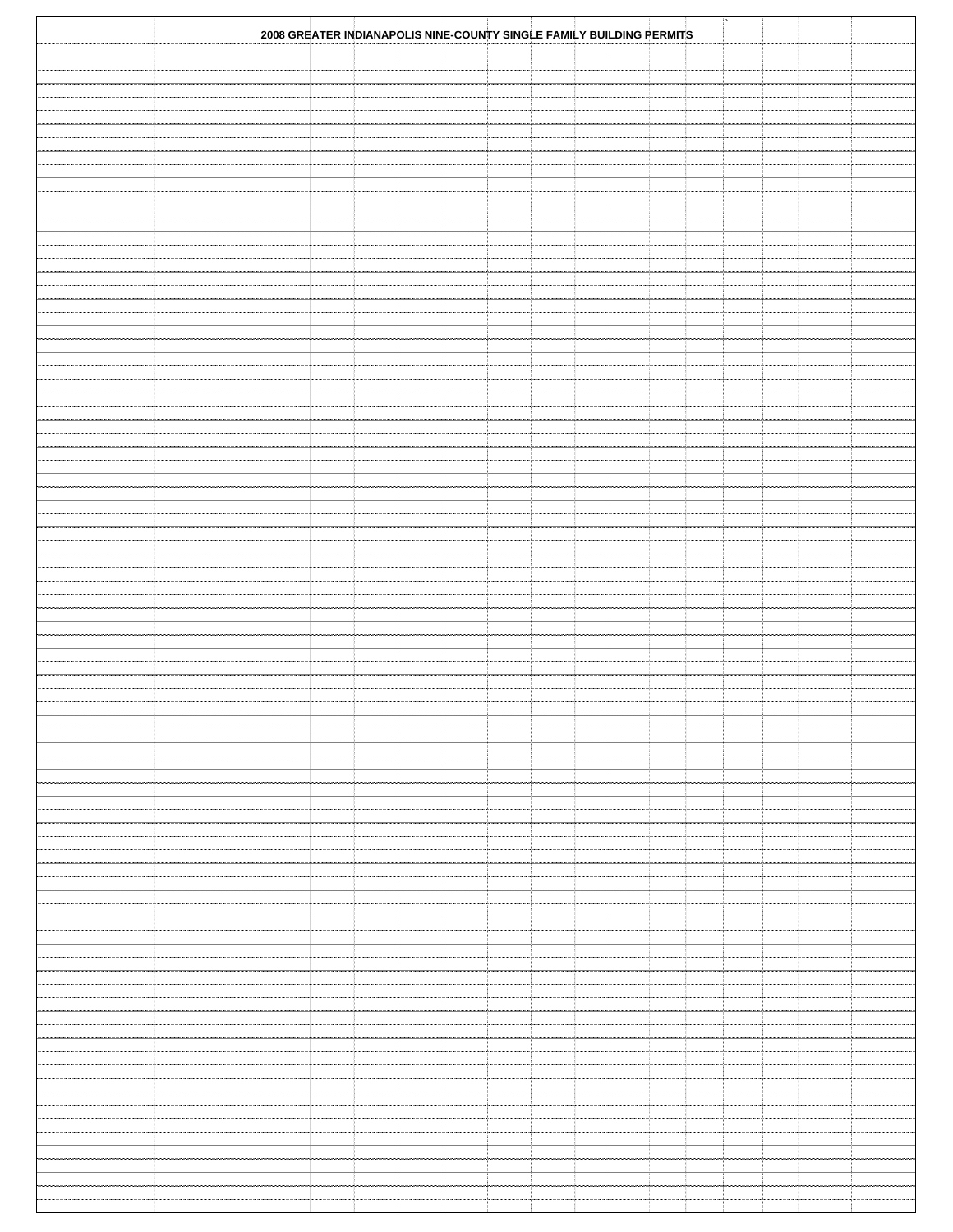| 2008 GREATER INDIANAPOLIS NINE-COUNTY SINGLE FAMILY BUILDING PERMITS |  |  |  |  |  |  |  |
|----------------------------------------------------------------------|--|--|--|--|--|--|--|
|                                                                      |  |  |  |  |  |  |  |
|                                                                      |  |  |  |  |  |  |  |
|                                                                      |  |  |  |  |  |  |  |
|                                                                      |  |  |  |  |  |  |  |
|                                                                      |  |  |  |  |  |  |  |
|                                                                      |  |  |  |  |  |  |  |
|                                                                      |  |  |  |  |  |  |  |
|                                                                      |  |  |  |  |  |  |  |
|                                                                      |  |  |  |  |  |  |  |
|                                                                      |  |  |  |  |  |  |  |
|                                                                      |  |  |  |  |  |  |  |
|                                                                      |  |  |  |  |  |  |  |
|                                                                      |  |  |  |  |  |  |  |
|                                                                      |  |  |  |  |  |  |  |
|                                                                      |  |  |  |  |  |  |  |
|                                                                      |  |  |  |  |  |  |  |
|                                                                      |  |  |  |  |  |  |  |
|                                                                      |  |  |  |  |  |  |  |
|                                                                      |  |  |  |  |  |  |  |
|                                                                      |  |  |  |  |  |  |  |
|                                                                      |  |  |  |  |  |  |  |
|                                                                      |  |  |  |  |  |  |  |
|                                                                      |  |  |  |  |  |  |  |
|                                                                      |  |  |  |  |  |  |  |
|                                                                      |  |  |  |  |  |  |  |
|                                                                      |  |  |  |  |  |  |  |
|                                                                      |  |  |  |  |  |  |  |
|                                                                      |  |  |  |  |  |  |  |
|                                                                      |  |  |  |  |  |  |  |
|                                                                      |  |  |  |  |  |  |  |
|                                                                      |  |  |  |  |  |  |  |
|                                                                      |  |  |  |  |  |  |  |
|                                                                      |  |  |  |  |  |  |  |
|                                                                      |  |  |  |  |  |  |  |
|                                                                      |  |  |  |  |  |  |  |
|                                                                      |  |  |  |  |  |  |  |
|                                                                      |  |  |  |  |  |  |  |
|                                                                      |  |  |  |  |  |  |  |
|                                                                      |  |  |  |  |  |  |  |
|                                                                      |  |  |  |  |  |  |  |
|                                                                      |  |  |  |  |  |  |  |
|                                                                      |  |  |  |  |  |  |  |
|                                                                      |  |  |  |  |  |  |  |
|                                                                      |  |  |  |  |  |  |  |
|                                                                      |  |  |  |  |  |  |  |
|                                                                      |  |  |  |  |  |  |  |
|                                                                      |  |  |  |  |  |  |  |
|                                                                      |  |  |  |  |  |  |  |
|                                                                      |  |  |  |  |  |  |  |
|                                                                      |  |  |  |  |  |  |  |
|                                                                      |  |  |  |  |  |  |  |
|                                                                      |  |  |  |  |  |  |  |
|                                                                      |  |  |  |  |  |  |  |
|                                                                      |  |  |  |  |  |  |  |
|                                                                      |  |  |  |  |  |  |  |
|                                                                      |  |  |  |  |  |  |  |
|                                                                      |  |  |  |  |  |  |  |
|                                                                      |  |  |  |  |  |  |  |
|                                                                      |  |  |  |  |  |  |  |
|                                                                      |  |  |  |  |  |  |  |
|                                                                      |  |  |  |  |  |  |  |
|                                                                      |  |  |  |  |  |  |  |
|                                                                      |  |  |  |  |  |  |  |
|                                                                      |  |  |  |  |  |  |  |
|                                                                      |  |  |  |  |  |  |  |
|                                                                      |  |  |  |  |  |  |  |
|                                                                      |  |  |  |  |  |  |  |
|                                                                      |  |  |  |  |  |  |  |